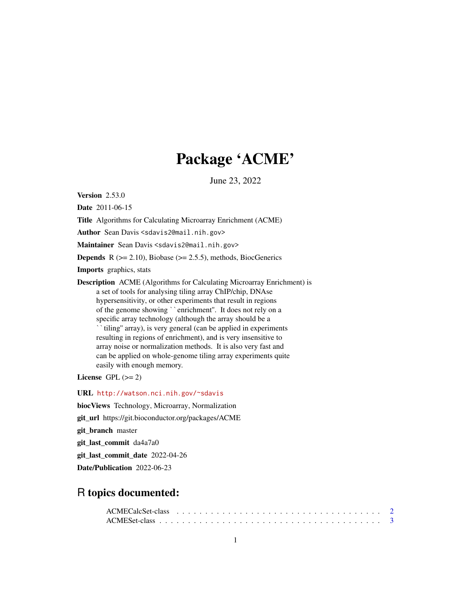## Package 'ACME'

June 23, 2022

<span id="page-0-0"></span>Version 2.53.0

Date 2011-06-15

Title Algorithms for Calculating Microarray Enrichment (ACME)

Author Sean Davis <sdavis2@mail.nih.gov>

Maintainer Sean Davis <sdavis2@mail.nih.gov>

**Depends** R  $(>= 2.10)$ , Biobase  $(>= 2.5.5)$ , methods, BiocGenerics

Imports graphics, stats

Description ACME (Algorithms for Calculating Microarray Enrichment) is a set of tools for analysing tiling array ChIP/chip, DNAse hypersensitivity, or other experiments that result in regions puon ACNE (Algoriums for Calculating Microariay Efficients)<br>a set of tools for analysing tiling array ChIP/chip, DNAse<br>hypersensitivity, or other experiments that result in regions<br>of the genome showing ``enrichment". It d specific array technology (although the array should be a tiling'' array), is very general (can be applied in experiments resulting in regions of enrichment), and is very insensitive to array noise or normalization methods. It is also very fast and can be applied on whole-genome tiling array experiments quite easily with enough memory.

License GPL  $(>= 2)$ 

URL <http://watson.nci.nih.gov/~sdavis>

biocViews Technology, Microarray, Normalization

git\_url https://git.bioconductor.org/packages/ACME

git\_branch master

git\_last\_commit da4a7a0

git\_last\_commit\_date 2022-04-26

Date/Publication 2022-06-23

### R topics documented: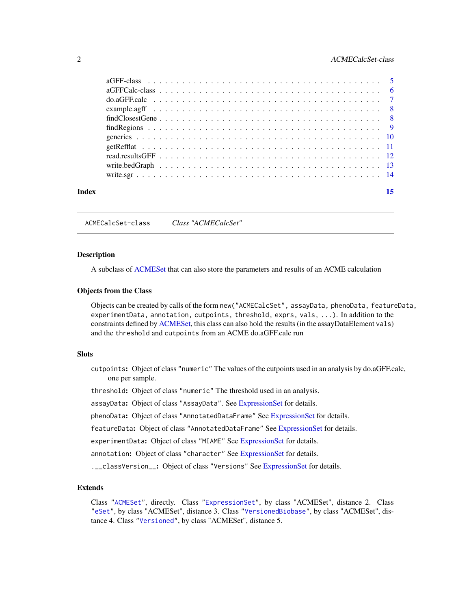#### <span id="page-1-0"></span>2 ACMECalcSet-class

| Index |                                                                                                           |  |  |  |  |  |  |  |  |  |  |  |  |  |  |  |  |  |
|-------|-----------------------------------------------------------------------------------------------------------|--|--|--|--|--|--|--|--|--|--|--|--|--|--|--|--|--|
|       |                                                                                                           |  |  |  |  |  |  |  |  |  |  |  |  |  |  |  |  |  |
|       |                                                                                                           |  |  |  |  |  |  |  |  |  |  |  |  |  |  |  |  |  |
|       |                                                                                                           |  |  |  |  |  |  |  |  |  |  |  |  |  |  |  |  |  |
|       |                                                                                                           |  |  |  |  |  |  |  |  |  |  |  |  |  |  |  |  |  |
|       |                                                                                                           |  |  |  |  |  |  |  |  |  |  |  |  |  |  |  |  |  |
|       | find Regions $\ldots \ldots \ldots \ldots \ldots \ldots \ldots \ldots \ldots \ldots \ldots \ldots \ldots$ |  |  |  |  |  |  |  |  |  |  |  |  |  |  |  |  |  |
|       |                                                                                                           |  |  |  |  |  |  |  |  |  |  |  |  |  |  |  |  |  |
|       | example.agff $\ldots \ldots \ldots \ldots \ldots \ldots \ldots \ldots \ldots \ldots \ldots \ldots \ldots$ |  |  |  |  |  |  |  |  |  |  |  |  |  |  |  |  |  |
|       |                                                                                                           |  |  |  |  |  |  |  |  |  |  |  |  |  |  |  |  |  |
|       |                                                                                                           |  |  |  |  |  |  |  |  |  |  |  |  |  |  |  |  |  |
|       |                                                                                                           |  |  |  |  |  |  |  |  |  |  |  |  |  |  |  |  |  |

<span id="page-1-1"></span>ACMECalcSet-class *Class "ACMECalcSet"*

#### **Description**

A subclass of [ACMESet](#page-2-1) that can also store the parameters and results of an ACME calculation

#### Objects from the Class

Objects can be created by calls of the form new("ACMECalcSet", assayData, phenoData, featureData, experimentData, annotation, cutpoints, threshold, exprs, vals, ...). In addition to the constraints defined by [ACMESet,](#page-2-1) this class can also hold the results (in the assayDataElement vals) and the threshold and cutpoints from an ACME do.aGFF.calc run

#### **Slots**

cutpoints: Object of class "numeric" The values of the cutpoints used in an analysis by do.aGFF.calc, one per sample.

threshold: Object of class "numeric" The threshold used in an analysis.

assayData: Object of class "AssayData". See [ExpressionSet](#page-0-0) for details.

phenoData: Object of class "AnnotatedDataFrame" See [ExpressionSet](#page-0-0) for details.

featureData: Object of class "AnnotatedDataFrame" See [ExpressionSet](#page-0-0) for details.

experimentData: Object of class "MIAME" See [ExpressionSet](#page-0-0) for details.

annotation: Object of class "character" See [ExpressionSet](#page-0-0) for details.

.\_\_classVersion\_: Object of class "Versions" See [ExpressionSet](#page-0-0) for details.

#### Extends

Class ["ACMESet"](#page-2-1), directly. Class ["ExpressionSet"](#page-0-0), by class "ACMESet", distance 2. Class ["eSet"](#page-0-0), by class "ACMESet", distance 3. Class ["VersionedBiobase"](#page-0-0), by class "ACMESet", distance 4. Class ["Versioned"](#page-0-0), by class "ACMESet", distance 5.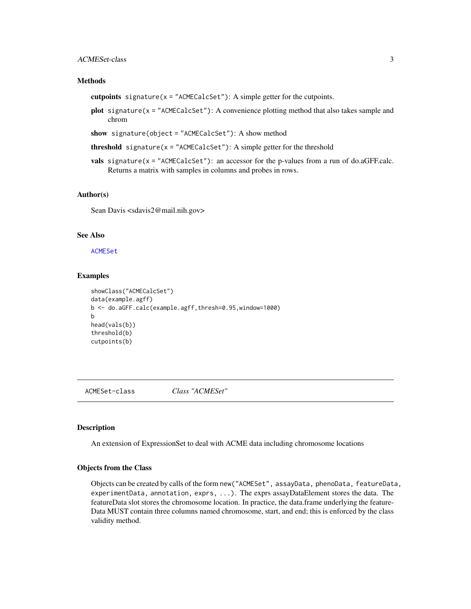#### <span id="page-2-0"></span>ACMESet-class 3

#### Methods

- cutpoints signature( $x =$  "ACMECalcSet"): A simple getter for the cutpoints.
- plot signature(x = "ACMECalcSet"): A convenience plotting method that also takes sample and chrom
- show signature(object = "ACMECalcSet"): A show method
- **threshold** signature( $x =$  "ACMECalcSet"): A simple getter for the threshold
- vals signature(x = "ACMECalcSet"): an accessor for the p-values from a run of do.aGFF.calc. Returns a matrix with samples in columns and probes in rows.

#### Author(s)

Sean Davis <sdavis2@mail.nih.gov>

#### See Also

[ACMESet](#page-2-1)

#### Examples

```
showClass("ACMECalcSet")
data(example.agff)
b <- do.aGFF.calc(example.agff,thresh=0.95,window=1000)
b
head(vals(b))
threshold(b)
cutpoints(b)
```
<span id="page-2-1"></span>ACMESet-class *Class "ACMESet"*

#### **Description**

An extension of ExpressionSet to deal with ACME data including chromosome locations

#### Objects from the Class

Objects can be created by calls of the form new("ACMESet", assayData, phenoData, featureData, experimentData, annotation, exprs, ...). The exprs assayDataElement stores the data. The featureData slot stores the chromosome location. In practice, the data.frame underlying the feature-Data MUST contain three columns named chromosome, start, and end; this is enforced by the class validity method.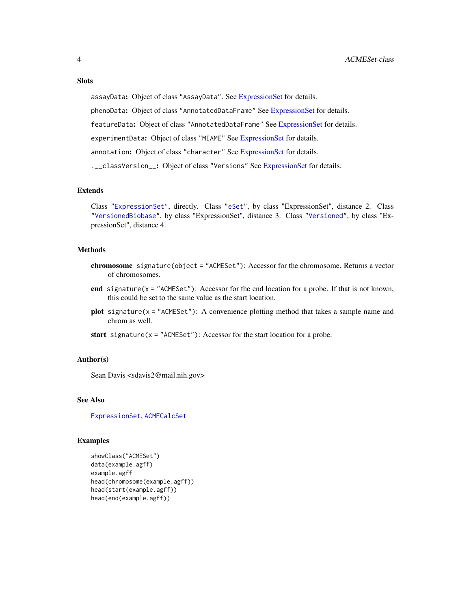#### <span id="page-3-0"></span>**Slots**

assayData: Object of class "AssayData". See [ExpressionSet](#page-0-0) for details.

phenoData: Object of class "AnnotatedDataFrame" See [ExpressionSet](#page-0-0) for details.

featureData: Object of class "AnnotatedDataFrame" See [ExpressionSet](#page-0-0) for details.

experimentData: Object of class "MIAME" See [ExpressionSet](#page-0-0) for details.

annotation: Object of class "character" See [ExpressionSet](#page-0-0) for details.

.\_\_classVersion\_: Object of class "Versions" See [ExpressionSet](#page-0-0) for details.

#### Extends

Class ["ExpressionSet"](#page-0-0), directly. Class ["eSet"](#page-0-0), by class "ExpressionSet", distance 2. Class ["VersionedBiobase"](#page-0-0), by class "ExpressionSet", distance 3. Class ["Versioned"](#page-0-0), by class "ExpressionSet", distance 4.

#### **Methods**

- chromosome signature(object = "ACMESet"): Accessor for the chromosome. Returns a vector of chromosomes.
- end signature( $x =$  "ACMESet"): Accessor for the end location for a probe. If that is not known, this could be set to the same value as the start location.
- plot signature(x = "ACMESet"): A convenience plotting method that takes a sample name and chrom as well.
- start signature( $x =$ "ACMESet"): Accessor for the start location for a probe.

#### Author(s)

Sean Davis <sdavis2@mail.nih.gov>

#### See Also

[ExpressionSet](#page-0-0), [ACMECalcSet](#page-1-1)

```
showClass("ACMESet")
data(example.agff)
example.agff
head(chromosome(example.agff))
head(start(example.agff))
head(end(example.agff))
```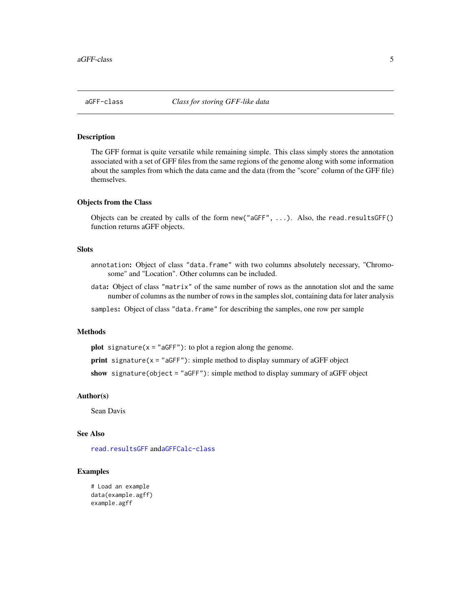#### <span id="page-4-1"></span><span id="page-4-0"></span>Description

The GFF format is quite versatile while remaining simple. This class simply stores the annotation associated with a set of GFF files from the same regions of the genome along with some information about the samples from which the data came and the data (from the "score" column of the GFF file) themselves.

#### Objects from the Class

Objects can be created by calls of the form new("aGFF", ...). Also, the read.resultsGFF() function returns aGFF objects.

#### Slots

- annotation: Object of class "data.frame" with two columns absolutely necessary, "Chromosome" and "Location". Other columns can be included.
- data: Object of class "matrix" of the same number of rows as the annotation slot and the same number of columns as the number of rows in the samples slot, containing data for later analysis

samples: Object of class "data.frame" for describing the samples, one row per sample

#### Methods

**plot** signature( $x = "aGFF"$ ): to plot a region along the genome.

print signature( $x =$  "aGFF"): simple method to display summary of aGFF object

show signature(object = "aGFF"): simple method to display summary of aGFF object

#### Author(s)

Sean Davis

#### See Also

[read.resultsGFF](#page-11-1) and[aGFFCalc-class](#page-5-1)

```
# Load an example
data(example.agff)
example.agff
```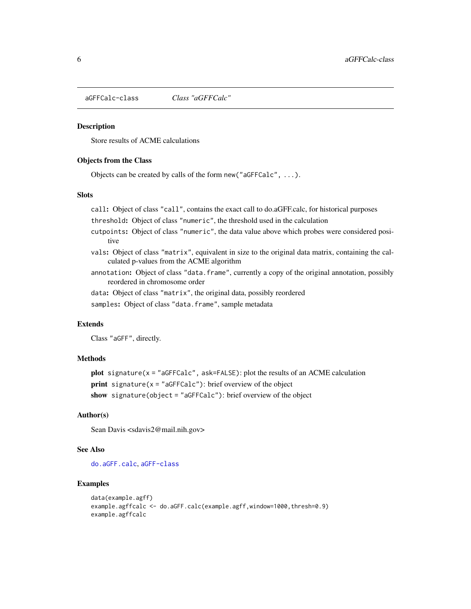<span id="page-5-1"></span><span id="page-5-0"></span>aGFFCalc-class *Class "aGFFCalc"*

#### **Description**

Store results of ACME calculations

#### Objects from the Class

Objects can be created by calls of the form new("aGFFCalc", ...).

#### Slots

call: Object of class "call", contains the exact call to do.aGFF.calc, for historical purposes

threshold: Object of class "numeric", the threshold used in the calculation

- cutpoints: Object of class "numeric", the data value above which probes were considered positive
- vals: Object of class "matrix", equivalent in size to the original data matrix, containing the calculated p-values from the ACME algorithm
- annotation: Object of class "data.frame", currently a copy of the original annotation, possibly reordered in chromosome order

data: Object of class "matrix", the original data, possibly reordered

samples: Object of class "data.frame", sample metadata

#### **Extends**

Class "aGFF", directly.

#### Methods

```
plot signature(x ="aGFFCalc", ask=FALSE): plot the results of an ACME calculation
print signature(x ="aGFFCalc"): brief overview of the object
show signature(object = "aGFFCalc"): brief overview of the object
```
#### Author(s)

Sean Davis <sdavis2@mail.nih.gov>

#### See Also

[do.aGFF.calc](#page-6-1), [aGFF-class](#page-4-1)

```
data(example.agff)
example.agffcalc <- do.aGFF.calc(example.agff,window=1000,thresh=0.9)
example.agffcalc
```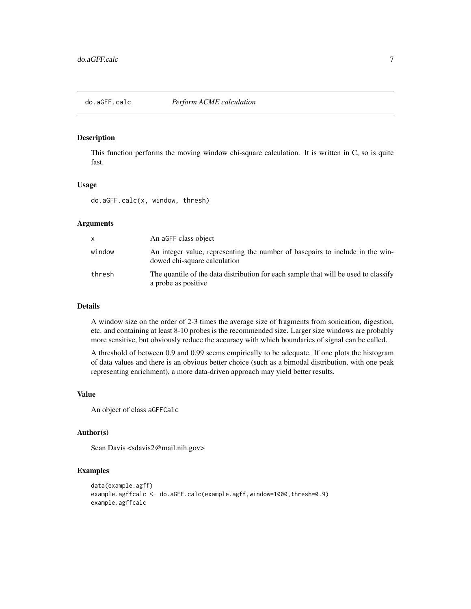<span id="page-6-1"></span><span id="page-6-0"></span>

#### Description

This function performs the moving window chi-square calculation. It is written in C, so is quite fast.

#### Usage

do.aGFF.calc(x, window, thresh)

#### Arguments

| x      | An aGFF class object                                                                                          |
|--------|---------------------------------------------------------------------------------------------------------------|
| window | An integer value, representing the number of basepairs to include in the win-<br>dowed chi-square calculation |
| thresh | The quantile of the data distribution for each sample that will be used to classify<br>a probe as positive    |

#### Details

A window size on the order of 2-3 times the average size of fragments from sonication, digestion, etc. and containing at least 8-10 probes is the recommended size. Larger size windows are probably more sensitive, but obviously reduce the accuracy with which boundaries of signal can be called.

A threshold of between 0.9 and 0.99 seems empirically to be adequate. If one plots the histogram of data values and there is an obvious better choice (such as a bimodal distribution, with one peak representing enrichment), a more data-driven approach may yield better results.

#### Value

An object of class aGFFCalc

#### Author(s)

Sean Davis <sdavis2@mail.nih.gov>

```
data(example.agff)
example.agffcalc <- do.aGFF.calc(example.agff,window=1000,thresh=0.9)
example.agffcalc
```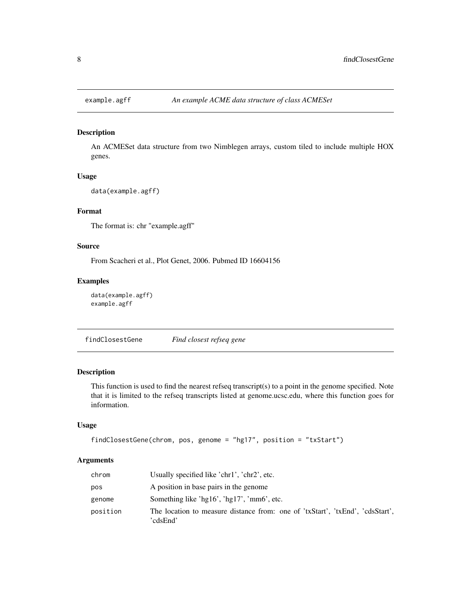<span id="page-7-0"></span>

#### Description

An ACMESet data structure from two Nimblegen arrays, custom tiled to include multiple HOX genes.

#### Usage

```
data(example.agff)
```
#### Format

The format is: chr "example.agff"

#### Source

From Scacheri et al., Plot Genet, 2006. Pubmed ID 16604156

#### Examples

```
data(example.agff)
example.agff
```
<span id="page-7-1"></span>findClosestGene *Find closest refseq gene*

#### Description

This function is used to find the nearest refseq transcript(s) to a point in the genome specified. Note that it is limited to the refseq transcripts listed at genome.ucsc.edu, where this function goes for information.

#### Usage

```
findClosestGene(chrom, pos, genome = "hg17", position = "txStart")
```
#### Arguments

| chrom    | Usually specified like 'chr1', 'chr2', etc.                                               |
|----------|-------------------------------------------------------------------------------------------|
| pos      | A position in base pairs in the genome                                                    |
| genome   | Something like 'hg16', 'hg17', 'mm6', etc.                                                |
| position | The location to measure distance from: one of 'txStart', 'txEnd', 'cdsStart',<br>'cdsEnd' |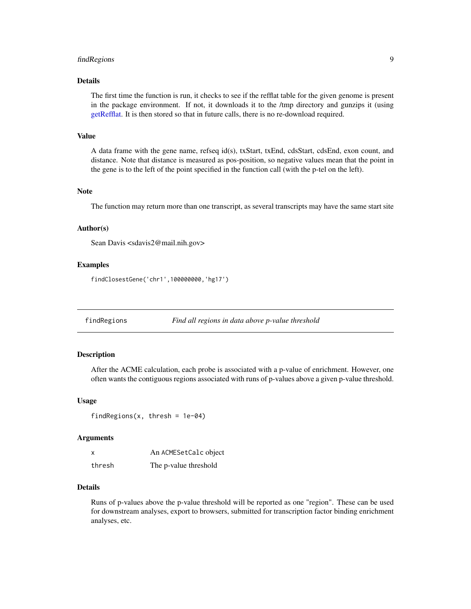#### <span id="page-8-0"></span>findRegions 9

#### Details

The first time the function is run, it checks to see if the refflat table for the given genome is present in the package environment. If not, it downloads it to the /tmp directory and gunzips it (using [getRefflat.](#page-10-1) It is then stored so that in future calls, there is no re-download required.

#### Value

A data frame with the gene name, refseq id(s), txStart, txEnd, cdsStart, cdsEnd, exon count, and distance. Note that distance is measured as pos-position, so negative values mean that the point in the gene is to the left of the point specified in the function call (with the p-tel on the left).

#### Note

The function may return more than one transcript, as several transcripts may have the same start site

#### Author(s)

Sean Davis <sdavis2@mail.nih.gov>

#### Examples

findClosestGene('chr1',100000000,'hg17')

findRegions *Find all regions in data above p-value threshold*

#### **Description**

After the ACME calculation, each probe is associated with a p-value of enrichment. However, one often wants the contiguous regions associated with runs of p-values above a given p-value threshold.

#### Usage

findRegions(x, thresh =  $1e-04$ )

#### Arguments

| x      | An ACMESetCalc object |
|--------|-----------------------|
| thresh | The p-value threshold |

#### Details

Runs of p-values above the p-value threshold will be reported as one "region". These can be used for downstream analyses, export to browsers, submitted for transcription factor binding enrichment analyses, etc.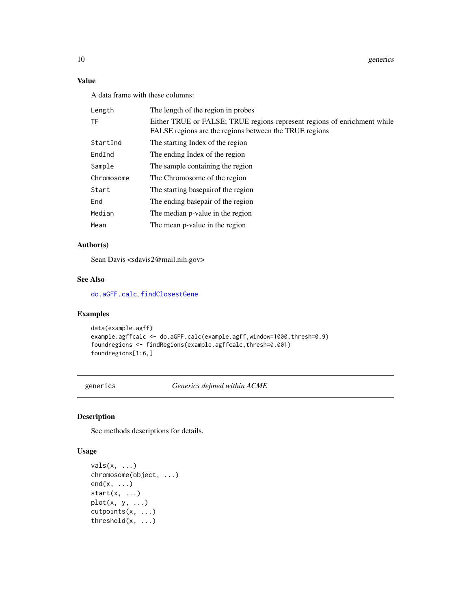#### <span id="page-9-0"></span>Value

A data frame with these columns:

| Length     | The length of the region in probes                                                                                                 |
|------------|------------------------------------------------------------------------------------------------------------------------------------|
| TF         | Either TRUE or FALSE; TRUE regions represent regions of enrichment while<br>FALSE regions are the regions between the TRUE regions |
| StartInd   | The starting Index of the region                                                                                                   |
| EndInd     | The ending Index of the region                                                                                                     |
| Sample     | The sample containing the region                                                                                                   |
| Chromosome | The Chromosome of the region                                                                                                       |
| Start      | The starting basepair of the region                                                                                                |
| End        | The ending basepair of the region                                                                                                  |
| Median     | The median p-value in the region                                                                                                   |
| Mean       | The mean p-value in the region                                                                                                     |
|            |                                                                                                                                    |

#### Author(s)

Sean Davis <sdavis2@mail.nih.gov>

#### See Also

[do.aGFF.calc](#page-6-1), [findClosestGene](#page-7-1)

#### Examples

```
data(example.agff)
example.agffcalc <- do.aGFF.calc(example.agff,window=1000,thresh=0.9)
foundregions <- findRegions(example.agffcalc,thresh=0.001)
foundregions[1:6,]
```
generics *Generics defined within ACME*

#### Description

See methods descriptions for details.

#### Usage

```
vals(x, \ldots)chromosome(object, ...)
end(x, \ldots)start(x, \ldots)plot(x, y, ...)
cutpoints(x, ...)
threshold(x, ...)
```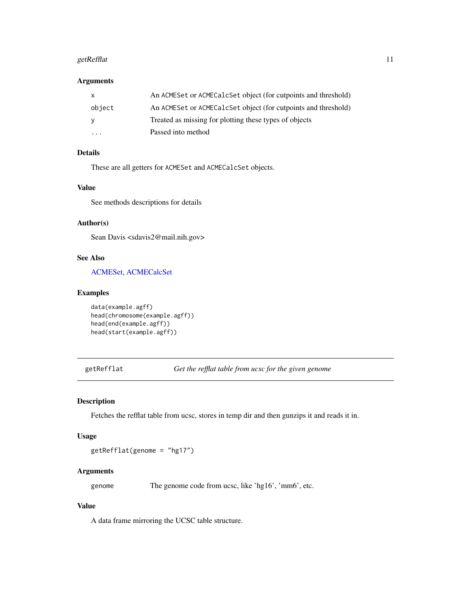#### <span id="page-10-0"></span>getRefflat 11

#### Arguments

| X        | An ACMESet or ACMECalcSet object (for cutpoints and threshold) |
|----------|----------------------------------------------------------------|
| object   | An ACMESet or ACMECalcSet object (for cutpoints and threshold) |
| <b>V</b> | Treated as missing for plotting these types of objects         |
| $\cdot$  | Passed into method                                             |

### Details

These are all getters for ACMESet and ACMECalcSet objects.

#### Value

See methods descriptions for details

#### Author(s)

Sean Davis <sdavis2@mail.nih.gov>

#### See Also

#### [ACMESet,](#page-2-1) [ACMECalcSet](#page-1-1)

#### Examples

```
data(example.agff)
head(chromosome(example.agff))
head(end(example.agff))
head(start(example.agff))
```
<span id="page-10-1"></span>getRefflat *Get the refflat table from ucsc for the given genome*

#### Description

Fetches the refflat table from ucsc, stores in temp dir and then gunzips it and reads it in.

#### Usage

getRefflat(genome = "hg17")

#### Arguments

genome The genome code from ucsc, like 'hg16', 'mm6', etc.

#### Value

A data frame mirroring the UCSC table structure.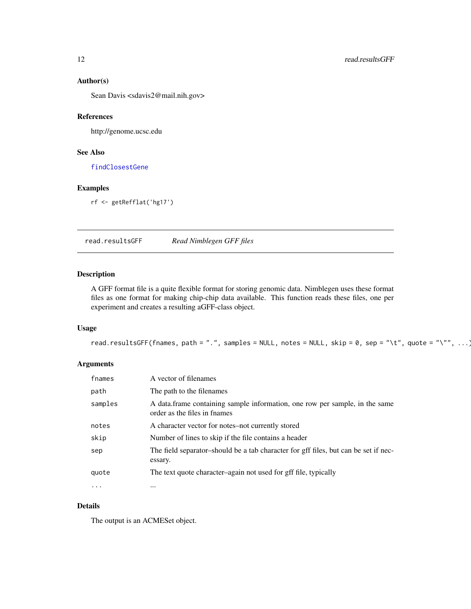#### Author(s)

Sean Davis <sdavis2@mail.nih.gov>

#### References

http://genome.ucsc.edu

#### See Also

[findClosestGene](#page-7-1)

#### Examples

rf <- getRefflat('hg17')

<span id="page-11-1"></span>read.resultsGFF *Read Nimblegen GFF files*

#### Description

A GFF format file is a quite flexible format for storing genomic data. Nimblegen uses these format files as one format for making chip-chip data available. This function reads these files, one per experiment and creates a resulting aGFF-class object.

#### Usage

```
read.resultsGFF(fnames, path = ".", samples = NULL, notes = NULL, skip = 0, sep = "\t", quote = "\"", ...)
```
#### Arguments

| fnames   | A vector of filenames                                                                                       |
|----------|-------------------------------------------------------------------------------------------------------------|
| path     | The path to the filenames                                                                                   |
| samples  | A data frame containing sample information, one row per sample, in the same<br>order as the files in fnames |
| notes    | A character vector for notes-not currently stored                                                           |
| skip     | Number of lines to skip if the file contains a header                                                       |
| sep      | The field separator-should be a tab character for gff files, but can be set if nec-<br>essary.              |
| quote    | The text quote character-again not used for gff file, typically                                             |
| $\cdots$ | $\cdots$                                                                                                    |

#### Details

The output is an ACMESet object.

<span id="page-11-0"></span>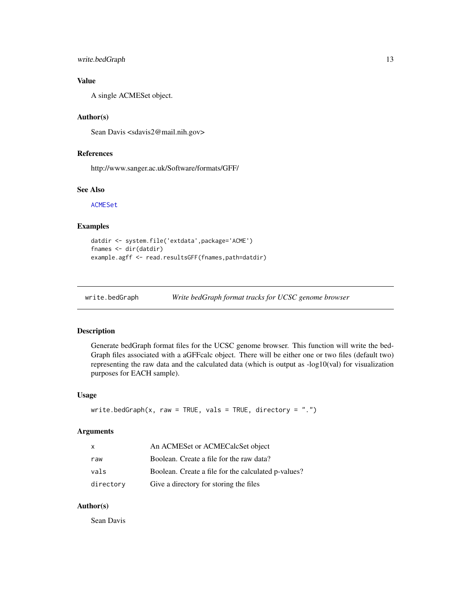#### <span id="page-12-0"></span>write.bedGraph 13

#### Value

A single ACMESet object.

#### Author(s)

Sean Davis <sdavis2@mail.nih.gov>

#### References

http://www.sanger.ac.uk/Software/formats/GFF/

#### See Also

[ACMESet](#page-2-1)

#### Examples

```
datdir <- system.file('extdata',package='ACME')
fnames <- dir(datdir)
example.agff <- read.resultsGFF(fnames,path=datdir)
```
write.bedGraph *Write bedGraph format tracks for UCSC genome browser*

#### Description

Generate bedGraph format files for the UCSC genome browser. This function will write the bed-Graph files associated with a aGFFcalc object. There will be either one or two files (default two) representing the raw data and the calculated data (which is output as  $-log10(val)$  for visualization purposes for EACH sample).

#### Usage

```
write.bedGraph(x, raw = TRUE, vals = TRUE, directory = ".")
```
#### Arguments

| $\mathsf{x}$ | An ACMESet or ACMECalcSet object                    |
|--------------|-----------------------------------------------------|
| raw          | Boolean. Create a file for the raw data?            |
| vals         | Boolean. Create a file for the calculated p-values? |
| directory    | Give a directory for storing the files              |

#### Author(s)

Sean Davis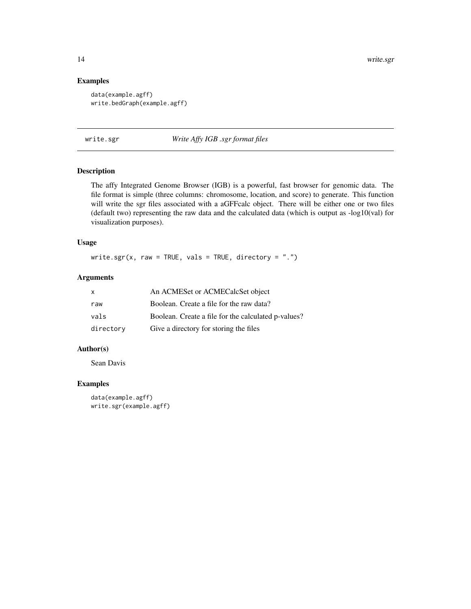#### Examples

```
data(example.agff)
write.bedGraph(example.agff)
```
write.sgr *Write Affy IGB .sgr format files*

#### Description

The affy Integrated Genome Browser (IGB) is a powerful, fast browser for genomic data. The file format is simple (three columns: chromosome, location, and score) to generate. This function will write the sgr files associated with a aGFFcalc object. There will be either one or two files (default two) representing the raw data and the calculated data (which is output as  $-log10(val)$  for visualization purposes).

#### Usage

write.sgr(x, raw = TRUE, vals = TRUE, directory =  $".")$ 

#### Arguments

| $\mathsf{x}$ | An ACMESet or ACMECalcSet object                    |
|--------------|-----------------------------------------------------|
| raw          | Boolean. Create a file for the raw data?            |
| vals         | Boolean. Create a file for the calculated p-values? |
| directory    | Give a directory for storing the files              |

#### Author(s)

Sean Davis

```
data(example.agff)
write.sgr(example.agff)
```
<span id="page-13-0"></span>